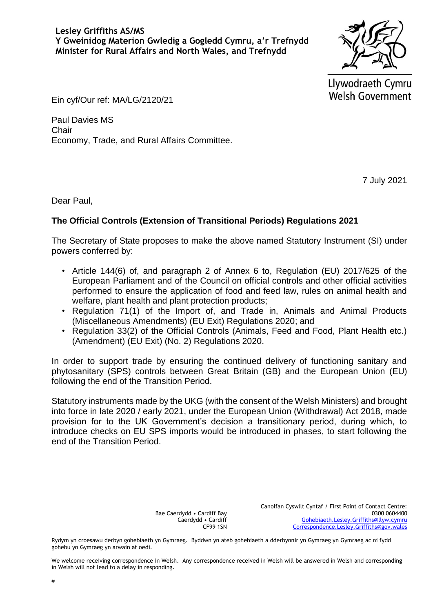Llywodraeth Cymru **Welsh Government** 

Ein cyf/Our ref: MA/LG/2120/21

Paul Davies MS **Chair** Economy, Trade, and Rural Affairs Committee.

7 July 2021

Dear Paul,

## **The Official Controls (Extension of Transitional Periods) Regulations 2021**

The Secretary of State proposes to make the above named Statutory Instrument (SI) under powers conferred by:

- Article 144(6) of, and paragraph 2 of Annex 6 to, Regulation (EU) 2017/625 of the European Parliament and of the Council on official controls and other official activities performed to ensure the application of food and feed law, rules on animal health and welfare, plant health and plant protection products;
- Regulation 71(1) of the Import of, and Trade in, Animals and Animal Products (Miscellaneous Amendments) (EU Exit) Regulations 2020; and
- Regulation 33(2) of the Official Controls (Animals, Feed and Food, Plant Health etc.) (Amendment) (EU Exit) (No. 2) Regulations 2020.

In order to support trade by ensuring the continued delivery of functioning sanitary and phytosanitary (SPS) controls between Great Britain (GB) and the European Union (EU) following the end of the Transition Period.

Statutory instruments made by the UKG (with the consent of the Welsh Ministers) and brought into force in late 2020 / early 2021, under the European Union (Withdrawal) Act 2018, made provision for to the UK Government's decision a transitionary period, during which, to introduce checks on EU SPS imports would be introduced in phases, to start following the end of the Transition Period.

> Bae Caerdydd • Cardiff Bay Caerdydd • Cardiff CF99 1SN

Canolfan Cyswllt Cyntaf / First Point of Contact Centre: 0300 0604400 [Gohebiaeth.Lesley.Griffiths@llyw.cymru](mailto:Gohebiaeth.Lesley.Griffiths@llyw.cymru) [Correspondence.Lesley.Griffiths@gov.wales](mailto:Correspondence.Lesley.Griffiths@gov.wales)

Rydym yn croesawu derbyn gohebiaeth yn Gymraeg. Byddwn yn ateb gohebiaeth a dderbynnir yn Gymraeg yn Gymraeg ac ni fydd gohebu yn Gymraeg yn arwain at oedi.

We welcome receiving correspondence in Welsh. Any correspondence received in Welsh will be answered in Welsh and corresponding in Welsh will not lead to a delay in responding.